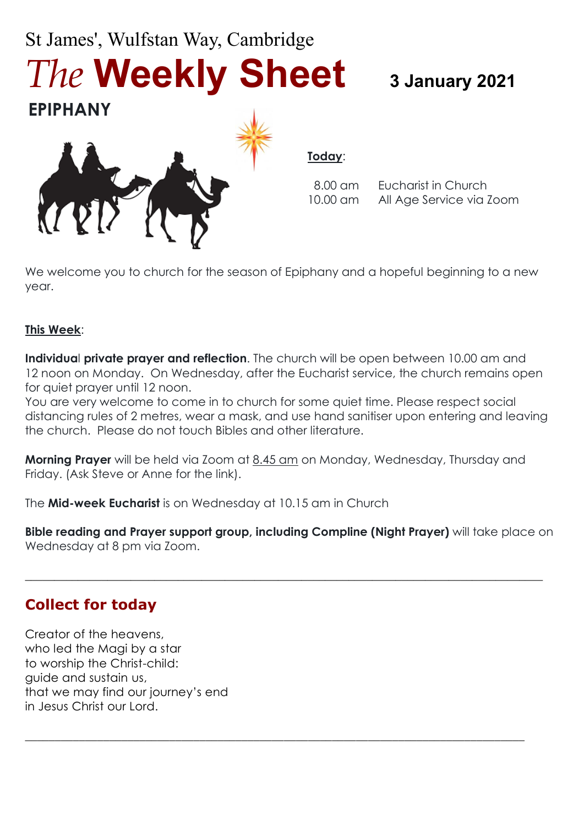# St James', Wulfstan Way, Cambridge *The* **Weekly Sheet 3 January 2021**



**Today**:

8.00 am Eucharist in Church 10.00 am All Age Service via Zoom

We welcome you to church for the season of Epiphany and a hopeful beginning to a new year.

#### **This Week**:

**EPIPHANY**

**Individua**l **private prayer and reflection**. The church will be open between 10.00 am and 12 noon on Monday. On Wednesday, after the Eucharist service, the church remains open for quiet prayer until 12 noon.

You are very welcome to come in to church for some quiet time. Please respect social distancing rules of 2 metres, wear a mask, and use hand sanitiser upon entering and leaving the church. Please do not touch Bibles and other literature.

**Morning Prayer** will be held via Zoom at 8.45 am on Monday, Wednesday, Thursday and Friday. (Ask Steve or Anne for the link).

The **Mid-week Eucharist** is on Wednesday at 10.15 am in Church

**Bible reading and Prayer support group, including Compline (Night Prayer)** will take place on Wednesday at 8 pm via Zoom.

 $\_$  , and the set of the set of the set of the set of the set of the set of the set of the set of the set of the set of the set of the set of the set of the set of the set of the set of the set of the set of the set of th

\_\_\_\_\_\_\_\_\_\_\_\_\_\_\_\_\_\_\_\_\_\_\_\_\_\_\_\_\_\_\_\_\_\_\_\_\_\_\_\_\_\_\_\_\_\_\_\_\_\_\_\_\_\_\_\_\_\_\_\_\_\_\_\_\_\_\_\_\_\_\_\_\_\_\_\_\_\_\_\_\_\_\_

#### **Collect for today**

Creator of the heavens, who led the Magi by a star to worship the Christ-child: guide and sustain us, that we may find our journey's end in Jesus Christ our Lord.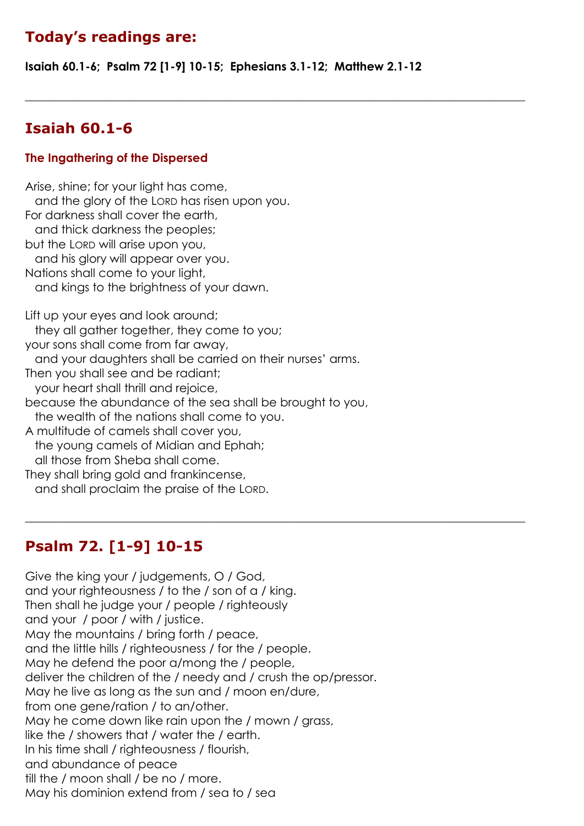# **Today's readings are:**

**Isaiah 60.1-6; Psalm 72 [1-9] 10-15; Ephesians 3.1-12; Matthew 2.1-12**

 $\_$  , and the set of the set of the set of the set of the set of the set of the set of the set of the set of the set of the set of the set of the set of the set of the set of the set of the set of the set of the set of th

 $\_$  , and the set of the set of the set of the set of the set of the set of the set of the set of the set of the set of the set of the set of the set of the set of the set of the set of the set of the set of the set of th

# **Isaiah 60.1-6**

#### **The Ingathering of the Dispersed**

Arise, shine; for your light has come, and the glory of the LORD has risen upon you. For darkness shall cover the earth, and thick darkness the peoples; but the LORD will arise upon you, and his glory will appear over you. Nations shall come to your light, and kings to the brightness of your dawn. Lift up your eyes and look around; they all gather together, they come to you; your sons shall come from far away, and your daughters shall be carried on their nurses' arms. Then you shall see and be radiant; your heart shall thrill and rejoice, because the abundance of the sea shall be brought to you, the wealth of the nations shall come to you. A multitude of camels shall cover you, the young camels of Midian and Ephah; all those from Sheba shall come. They shall bring gold and frankincense, and shall proclaim the praise of the LORD.

# **Psalm 72. [1-9] 10-15**

Give the king your / judgements, O / God, and your righteousness / to the / son of a / king. Then shall he judge your / people / righteously and your / poor / with / justice. May the mountains / bring forth / peace, and the little hills / righteousness / for the / people. May he defend the poor a/mong the / people, deliver the children of the / needy and / crush the op/pressor. May he live as long as the sun and / moon en/dure, from one gene/ration / to an/other. May he come down like rain upon the / mown / grass, like the / showers that / water the / earth. In his time shall / righteousness / flourish, and abundance of peace till the / moon shall / be no / more. May his dominion extend from / sea to / sea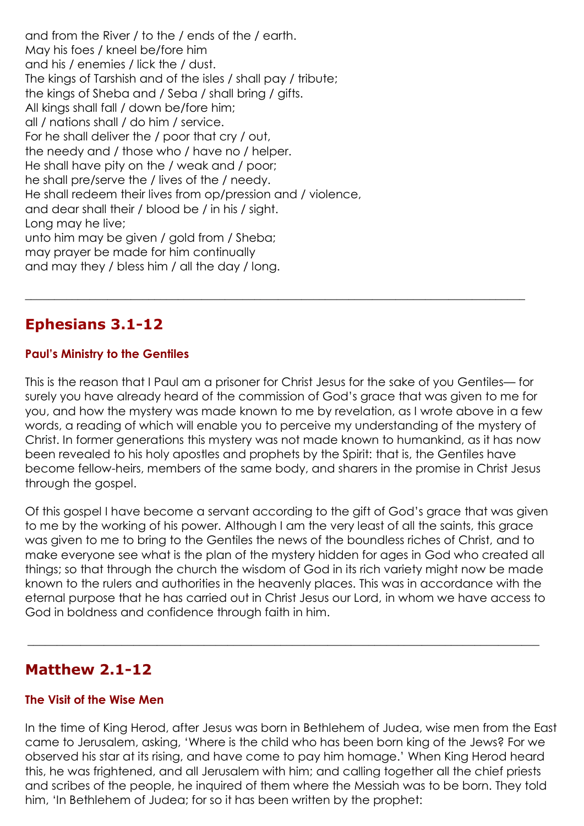and from the River / to the / ends of the / earth. May his foes / kneel be/fore him and his / enemies / lick the / dust. The kings of Tarshish and of the isles / shall pay / tribute; the kings of Sheba and / Seba / shall bring / gifts. All kings shall fall / down be/fore him; all / nations shall / do him / service. For he shall deliver the / poor that cry / out, the needy and / those who / have no / helper. He shall have pity on the / weak and / poor; he shall pre/serve the / lives of the / needy. He shall redeem their lives from op/pression and / violence, and dear shall their / blood be / in his / sight. Long may he live; unto him may be given / gold from / Sheba; may prayer be made for him continually and may they / bless him / all the day / long.

#### **Ephesians 3.1-12**

#### **Paul's Ministry to the Gentiles**

This is the reason that I Paul am a prisoner for Christ Jesus for the sake of you Gentiles— for surely you have already heard of the commission of God's grace that was given to me for you, and how the mystery was made known to me by revelation, as I wrote above in a few words, a reading of which will enable you to perceive my understanding of the mystery of Christ. In former generations this mystery was not made known to humankind, as it has now been revealed to his holy apostles and prophets by the Spirit: that is, the Gentiles have become fellow-heirs, members of the same body, and sharers in the promise in Christ Jesus through the gospel.

 $\_$  , and the set of the set of the set of the set of the set of the set of the set of the set of the set of the set of the set of the set of the set of the set of the set of the set of the set of the set of the set of th

Of this gospel I have become a servant according to the gift of God's grace that was given to me by the working of his power. Although I am the very least of all the saints, this grace was given to me to bring to the Gentiles the news of the boundless riches of Christ, and to make everyone see what is the plan of the mystery hidden for ages in God who created all things; so that through the church the wisdom of God in its rich variety might now be made known to the rulers and authorities in the heavenly places. This was in accordance with the eternal purpose that he has carried out in Christ Jesus our Lord, in whom we have access to God in boldness and confidence through faith in him.

 $\_$  , and the set of the set of the set of the set of the set of the set of the set of the set of the set of the set of the set of the set of the set of the set of the set of the set of the set of the set of the set of th

#### **Matthew 2.1-12**

#### **The Visit of the Wise Men**

In the time of King Herod, after Jesus was born in Bethlehem of Judea, wise men from the East came to Jerusalem, asking, 'Where is the child who has been born king of the Jews? For we observed his star at its rising, and have come to pay him homage.' When King Herod heard this, he was frightened, and all Jerusalem with him; and calling together all the chief priests and scribes of the people, he inquired of them where the Messiah was to be born. They told him, 'In Bethlehem of Judea; for so it has been written by the prophet: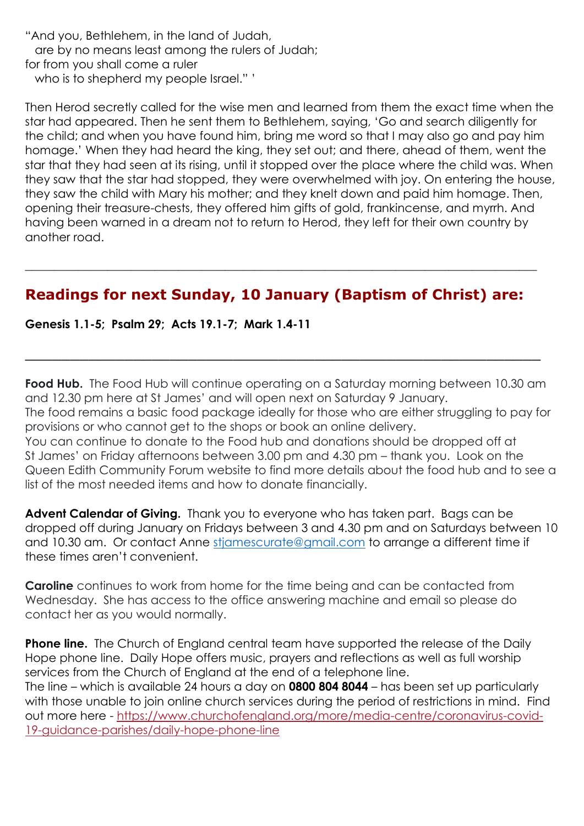"And you, Bethlehem, in the land of Judah, are by no means least among the rulers of Judah; for from you shall come a ruler who is to shepherd my people Israel." '

Then Herod secretly called for the wise men and learned from them the exact time when the star had appeared. Then he sent them to Bethlehem, saying, 'Go and search diligently for the child; and when you have found him, bring me word so that I may also go and pay him homage.' When they had heard the king, they set out; and there, ahead of them, went the star that they had seen at its rising, until it stopped over the place where the child was. When they saw that the star had stopped, they were overwhelmed with joy. On entering the house, they saw the child with Mary his mother; and they knelt down and paid him homage. Then, opening their treasure-chests, they offered him gifts of gold, frankincense, and myrrh. And having been warned in a dream not to return to Herod, they left for their own country by another road.

#### **Readings for next Sunday, 10 January (Baptism of Christ) are:**

**\_\_\_\_\_\_\_\_\_\_\_\_\_\_\_\_\_\_\_\_\_\_\_\_\_\_\_\_\_\_\_\_\_\_\_\_\_\_\_\_\_\_\_\_\_\_\_\_\_\_\_\_\_\_\_\_\_\_\_\_\_\_\_\_\_\_\_\_\_\_\_\_\_\_\_\_\_\_\_\_\_\_\_\_\_\_\_**

**Genesis 1.1-5; Psalm 29; Acts 19.1-7; Mark 1.4-11**

**Food Hub.** The Food Hub will continue operating on a Saturday morning between 10.30 am and 12.30 pm here at St James' and will open next on Saturday 9 January.

\_\_\_\_\_\_\_\_\_\_\_\_\_\_\_\_\_\_\_\_\_\_\_\_\_\_\_\_\_\_\_\_\_\_\_\_\_\_\_\_\_\_\_\_\_\_\_\_\_\_\_\_\_\_\_\_\_

The food remains a basic food package ideally for those who are either struggling to pay for provisions or who cannot get to the shops or book an online delivery.

You can continue to donate to the Food hub and donations should be dropped off at St James' on Friday afternoons between 3.00 pm and 4.30 pm – thank you. Look on the Queen Edith Community Forum website to find more details about the food hub and to see a list of the most needed items and how to donate financially.

**Advent Calendar of Giving.** Thank you to everyone who has taken part. Bags can be dropped off during January on Fridays between 3 and 4.30 pm and on Saturdays between 10 and 10.30 am. Or contact Anne [stjamescurate@gmail.com](mailto:stjamescurate@gmail.com) to arrange a different time if these times aren't convenient.

**Caroline** continues to work from home for the time being and can be contacted from Wednesday. She has access to the office answering machine and email so please do contact her as you would normally.

**Phone line.** The Church of England central team have supported the release of the Daily Hope phone line. Daily Hope offers music, prayers and reflections as well as full worship services from the Church of England at the end of a telephone line. The line – which is available 24 hours a day on **0800 804 8044** – has been set up particularly with those unable to join online church services during the period of restrictions in mind. Find out more here - [https://www.churchofengland.org/more/media-centre/coronavirus-covid-](https://www.churchofengland.org/more/media-centre/coronavirus-covid-19-guidance-parishes/daily-hope-phone-line)[19-guidance-parishes/daily-hope-phone-line](https://www.churchofengland.org/more/media-centre/coronavirus-covid-19-guidance-parishes/daily-hope-phone-line)